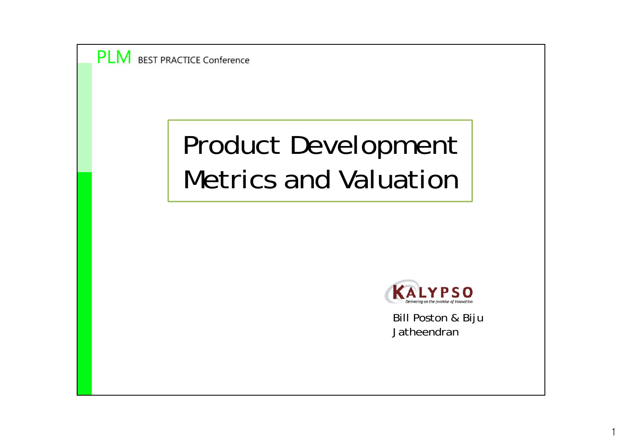

## Product Development Metrics and Valuation



Bill Poston & Biju Jatheendran

1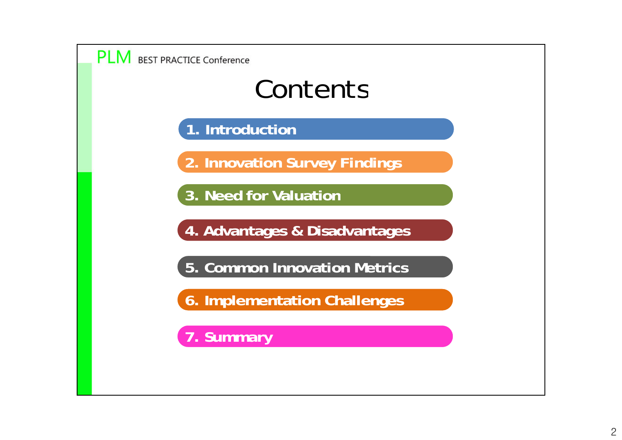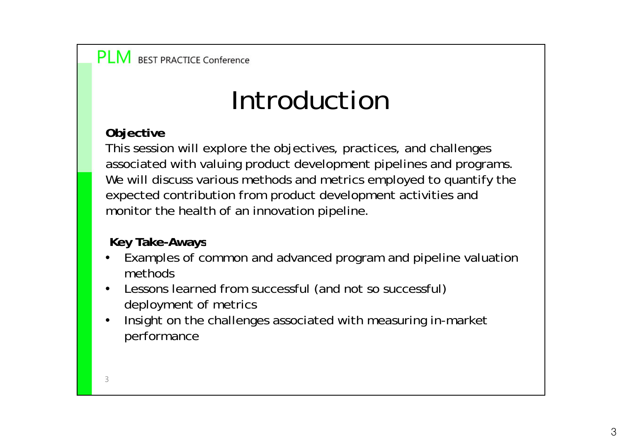## Introduction

### **Objective**

This session will explore the objectives, practices, and challenges associated with valuing product development pipelines and programs. We will discuss various methods and metrics employed to quantify the expected contribution from product development activities and monitor the health of an innovation pipeline.

**Key Take-Aways**

- • Examples of common and advanced program and pipeline valuation methods
- •Lessons learned from successful (and not so successful) deployment of metrics
- • Insight on the challenges associated with measuring in-market performance

3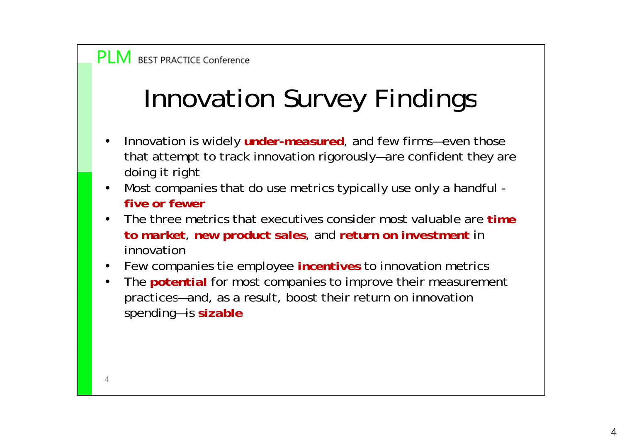## Innovation Survey Findings

- •Innovation is widely *under-measured*, and few firms—even those that attempt to track innovation rigorously—are confident they are doing it right
- •• Most companies that do use metrics typically use only a handful *five or fewer*
- • The three metrics that executives consider most valuable are *time to market*, *new product sales*, and *return on investment* in innovation
- •Few companies tie employee *incentives* to innovation metrics
- • The *potential* for most companies to improve their measurement practices—and, as a result, boost their return on innovation spending—is *sizable*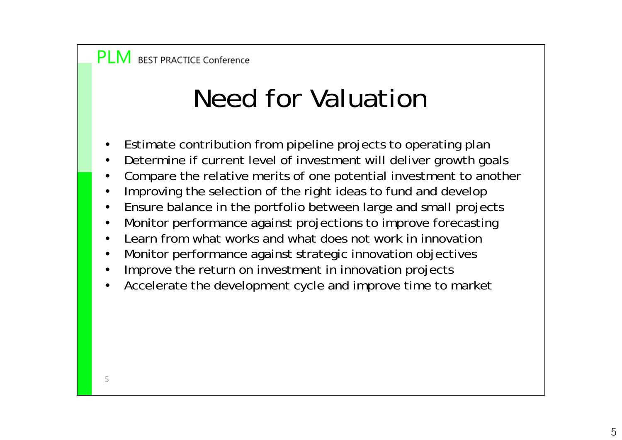## Need for Valuation

- •Estimate contribution from pipeline projects to operating plan
- •Determine if current level of investment will deliver growth goals
- •Compare the relative merits of one potential investment to another
- •Improving the selection of the right ideas to fund and develop
- •Ensure balance in the portfolio between large and small projects
- •Monitor performance against projections to improve forecasting
- •Learn from what works and what does not work in innovation
- •Monitor performance against strategic innovation objectives
- •Improve the return on investment in innovation projects
- •Accelerate the development cycle and improve time to market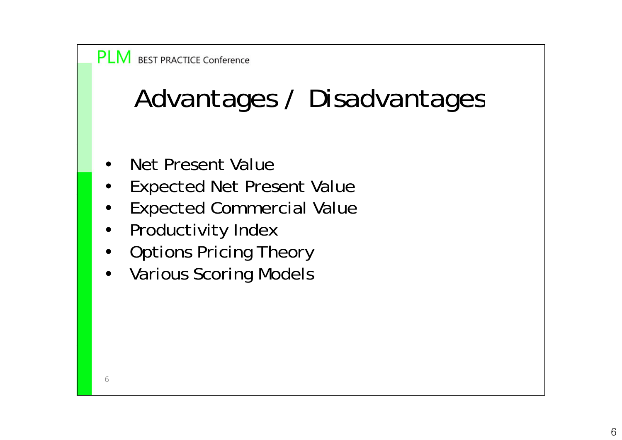## Advantages / Disadvantages

- •Net Present Value
- •• Expected Net Present Value
- •Expected Commercial Value
- $\bullet$ Productivity Index
- $\bullet$ • Options Pricing Theory
- $\bullet$ Various Scoring Models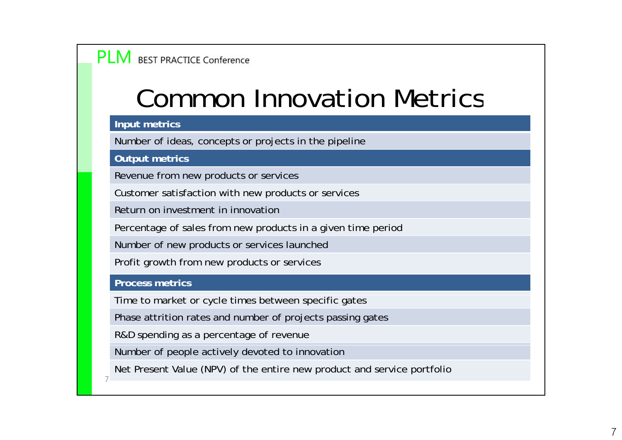### Common Innovation Metrics

#### **Input metrics**

Number of ideas, concepts or projects in the pipeline

**Output metrics**

Revenue from new products or services

Customer satisfaction with new products or services

Return on investment in innovation

Percentage of sales from new products in a given time period

Number of new products or services launched

Profit growth from new products or services

#### **Process metrics**

7

Time to market or cycle times between specific gates

Phase attrition rates and number of projects passing gates

R&D spending as a percentage of revenue

Number of people actively devoted to innovation

Net Present Value (NPV) of the entire new product and service portfolio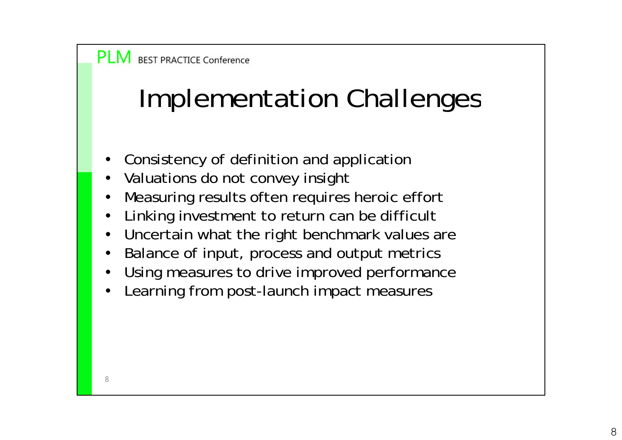## Implementation Challenges

- •Consistency of definition and application
- •Valuations do not convey insight
- •Measuring results often requires heroic effort
- •Linking investment to return can be difficult
- •Uncertain what the right benchmark values are
- •Balance of input, process and output metrics
- •Using measures to drive improved performance
- •• Learning from post-launch impact measures